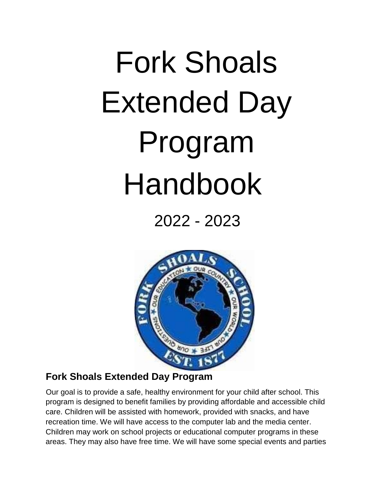# Fork Shoals Extended Day Program Handbook

2022 - 2023



# **Fork Shoals Extended Day Program**

Our goal is to provide a safe, healthy environment for your child after school. This program is designed to benefit families by providing affordable and accessible child care. Children will be assisted with homework, provided with snacks, and have recreation time. We will have access to the computer lab and the media center. Children may work on school projects or educational computer programs in these areas. They may also have free time. We will have some special events and parties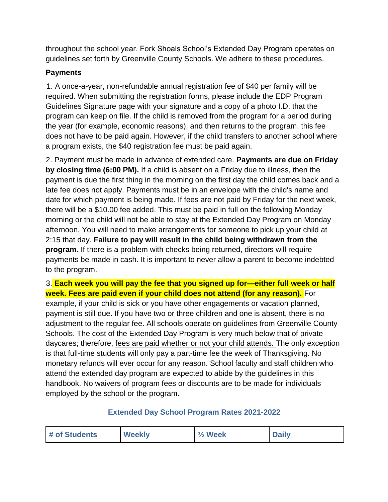throughout the school year. Fork Shoals School's Extended Day Program operates on guidelines set forth by Greenville County Schools. We adhere to these procedures.

#### **Payments**

1. A once-a-year, non-refundable annual registration fee of \$40 per family will be required. When submitting the registration forms, please include the EDP Program Guidelines Signature page with your signature and a copy of a photo I.D. that the program can keep on file. If the child is removed from the program for a period during the year (for example, economic reasons), and then returns to the program, this fee does not have to be paid again. However, if the child transfers to another school where a program exists, the \$40 registration fee must be paid again.

2. Payment must be made in advance of extended care. **Payments are due on Friday by closing time (6:00 PM).** If a child is absent on a Friday due to illness, then the payment is due the first thing in the morning on the first day the child comes back and a late fee does not apply. Payments must be in an envelope with the child's name and date for which payment is being made. If fees are not paid by Friday for the next week, there will be a \$10.00 fee added. This must be paid in full on the following Monday morning or the child will not be able to stay at the Extended Day Program on Monday afternoon. You will need to make arrangements for someone to pick up your child at 2:15 that day. **Failure to pay will result in the child being withdrawn from the program.** If there is a problem with checks being returned, directors will require payments be made in cash. It is important to never allow a parent to become indebted to the program.

#### 3. **Each week you will pay the fee that you signed up for—either full week or half week. Fees are paid even if your child does not attend (for any reason).** For

example, if your child is sick or you have other engagements or vacation planned, payment is still due. If you have two or three children and one is absent, there is no adjustment to the regular fee. All schools operate on guidelines from Greenville County Schools. The cost of the Extended Day Program is very much below that of private daycares; therefore, fees are paid whether or not your child attends. The only exception is that full-time students will only pay a part-time fee the week of Thanksgiving. No monetary refunds will ever occur for any reason. School faculty and staff children who attend the extended day program are expected to abide by the guidelines in this handbook. No waivers of program fees or discounts are to be made for individuals employed by the school or the program.

#### **Extended Day School Program Rates 2021-2022**

| <b>Weekly</b><br><b>Daily</b><br>$\frac{1}{2}$ Week<br># of Students |  |
|----------------------------------------------------------------------|--|
|----------------------------------------------------------------------|--|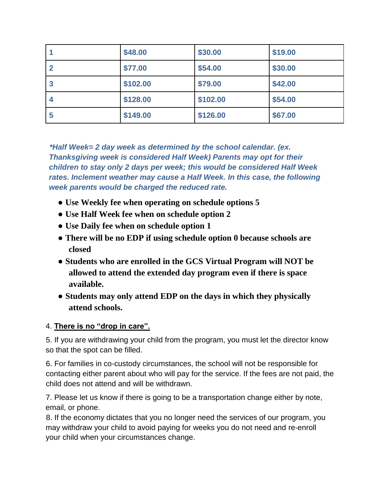|                  | \$48.00  | \$30.00  | \$19.00 |
|------------------|----------|----------|---------|
| $\mathbf{2}$     | \$77.00  | \$54.00  | \$30.00 |
| $\boldsymbol{3}$ | \$102.00 | \$79.00  | \$42.00 |
| 4                | \$128.00 | \$102.00 | \$54.00 |
| 5                | \$149.00 | \$126.00 | \$67.00 |

*\*Half Week= 2 day week as determined by the school calendar. (ex. Thanksgiving week is considered Half Week) Parents may opt for their children to stay only 2 days per week; this would be considered Half Week rates. Inclement weather may cause a Half Week. In this case, the following week parents would be charged the reduced rate.* 

- **Use Weekly fee when operating on schedule options 5**
- **Use Half Week fee when on schedule option 2**
- **Use Daily fee when on schedule option 1**
- **There will be no EDP if using schedule option 0 because schools are closed**
- **Students who are enrolled in the GCS Virtual Program will NOT be allowed to attend the extended day program even if there is space available.**
- **Students may only attend EDP on the days in which they physically attend schools.**

#### 4. **There is no "drop in care".**

5. If you are withdrawing your child from the program, you must let the director know so that the spot can be filled.

6. For families in co-custody circumstances, the school will not be responsible for contacting either parent about who will pay for the service. If the fees are not paid, the child does not attend and will be withdrawn.

7. Please let us know if there is going to be a transportation change either by note, email, or phone.

8. If the economy dictates that you no longer need the services of our program, you may withdraw your child to avoid paying for weeks you do not need and re-enroll your child when your circumstances change.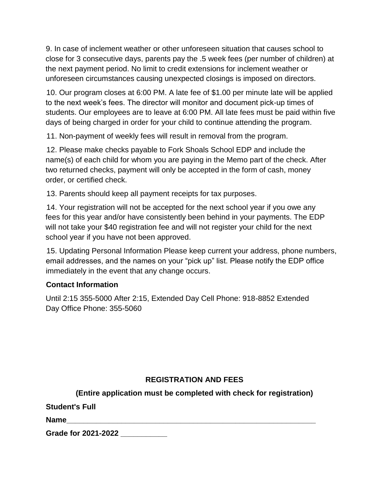9. In case of inclement weather or other unforeseen situation that causes school to close for 3 consecutive days, parents pay the .5 week fees (per number of children) at the next payment period. No limit to credit extensions for inclement weather or unforeseen circumstances causing unexpected closings is imposed on directors.

10. Our program closes at 6:00 PM. A late fee of \$1.00 per minute late will be applied to the next week's fees. The director will monitor and document pick-up times of students. Our employees are to leave at 6:00 PM. All late fees must be paid within five days of being charged in order for your child to continue attending the program.

11. Non-payment of weekly fees will result in removal from the program.

12. Please make checks payable to Fork Shoals School EDP and include the name(s) of each child for whom you are paying in the Memo part of the check. After two returned checks, payment will only be accepted in the form of cash, money order, or certified check.

13. Parents should keep all payment receipts for tax purposes.

14. Your registration will not be accepted for the next school year if you owe any fees for this year and/or have consistently been behind in your payments. The EDP will not take your \$40 registration fee and will not register your child for the next school year if you have not been approved.

15. Updating Personal Information Please keep current your address, phone numbers, email addresses, and the names on your "pick up" list. Please notify the EDP office immediately in the event that any change occurs.

#### **Contact Information**

Until 2:15 355-5000 After 2:15, Extended Day Cell Phone: 918-8852 Extended Day Office Phone: 355-5060

#### **REGISTRATION AND FEES**

**(Entire application must be completed with check for registration)** 

**Student's Full** 

**Name** 

**Grade for 2021-2022 \_\_\_\_\_\_\_\_\_\_\_**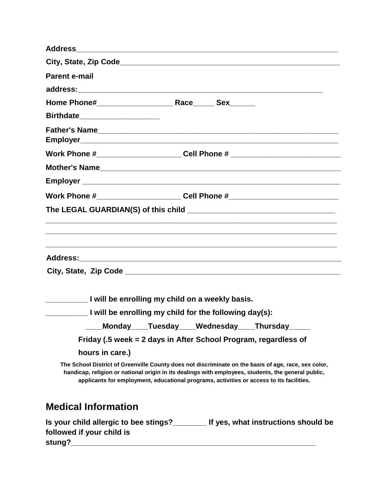| <b>Address</b>                                  |                                                                                                                                                                                                                                                                                                         |
|-------------------------------------------------|---------------------------------------------------------------------------------------------------------------------------------------------------------------------------------------------------------------------------------------------------------------------------------------------------------|
|                                                 |                                                                                                                                                                                                                                                                                                         |
| <b>Parent e-mail</b>                            |                                                                                                                                                                                                                                                                                                         |
|                                                 |                                                                                                                                                                                                                                                                                                         |
|                                                 |                                                                                                                                                                                                                                                                                                         |
| Birthdate_____________________                  |                                                                                                                                                                                                                                                                                                         |
|                                                 |                                                                                                                                                                                                                                                                                                         |
|                                                 | Work Phone #___________________________Cell Phone # ____________________________                                                                                                                                                                                                                        |
|                                                 |                                                                                                                                                                                                                                                                                                         |
|                                                 |                                                                                                                                                                                                                                                                                                         |
|                                                 | Work Phone #___________________________Cell Phone #_____________________________                                                                                                                                                                                                                        |
|                                                 |                                                                                                                                                                                                                                                                                                         |
|                                                 |                                                                                                                                                                                                                                                                                                         |
| I will be enrolling my child on a weekly basis. |                                                                                                                                                                                                                                                                                                         |
|                                                 | I will be enrolling my child for the following day(s):                                                                                                                                                                                                                                                  |
|                                                 | Monday____Tuesday____Wednesday____Thursday__                                                                                                                                                                                                                                                            |
|                                                 | Friday (.5 week = 2 days in After School Program, regardless of                                                                                                                                                                                                                                         |
| hours in care.)                                 |                                                                                                                                                                                                                                                                                                         |
|                                                 | The School District of Greenville County does not discriminate on the basis of age, race, sex color,<br>handicap, religion or national origin in its dealings with employees, students, the general public,<br>applicants for employment, educational programs, activities or access to its facilities. |
| <b>Medical Information</b>                      |                                                                                                                                                                                                                                                                                                         |
| followed if your child is                       | Is your child allergic to bee stings?________ If yes, what instructions should be                                                                                                                                                                                                                       |

**stung?\_\_\_\_\_\_\_\_\_\_\_\_\_\_\_\_\_\_\_\_\_\_\_\_\_\_\_\_\_\_\_\_\_\_\_\_\_\_\_\_\_\_\_\_\_\_\_\_\_\_\_\_\_\_\_\_\_\_**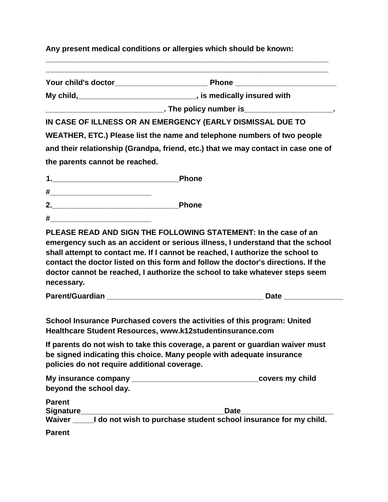**Any present medical conditions or allergies which should be known:** 

**\_\_\_\_\_\_\_\_\_\_\_\_\_\_\_\_\_\_\_\_\_\_\_\_\_\_\_\_\_\_\_\_\_\_\_\_\_\_\_\_\_\_\_\_\_\_\_\_\_\_\_\_\_\_\_\_\_\_\_\_\_\_\_\_\_\_\_ Your child's doctor\_\_\_\_\_\_\_\_\_\_\_\_\_\_\_\_\_\_\_\_\_\_ Phone \_\_\_\_\_\_\_\_\_\_\_\_\_\_\_\_\_\_\_\_\_\_\_\_** 

**\_\_\_\_\_\_\_\_\_\_\_\_\_\_\_\_\_\_\_\_\_\_\_\_\_\_\_\_\_\_\_\_\_\_\_\_\_\_\_\_\_\_\_\_\_\_\_\_\_\_\_\_\_\_\_\_\_\_\_\_\_\_\_\_\_\_\_** 

**My child,\_\_\_\_\_\_\_\_\_\_\_\_\_\_\_\_\_\_\_\_\_\_\_\_\_\_\_\_, is medically insured with** 

**\_\_\_\_\_\_\_\_\_\_\_\_\_\_\_\_\_\_\_\_\_\_\_\_\_\_\_\_. The policy number is\_\_\_\_\_\_\_\_\_\_\_\_\_\_\_\_\_\_\_\_\_.** 

**IN CASE OF ILLNESS OR AN EMERGENCY (EARLY DISMISSAL DUE TO** 

**WEATHER, ETC.) Please list the name and telephone numbers of two people and their relationship (Grandpa, friend, etc.) that we may contact in case one of the parents cannot be reached.** 

|        | <b>Phone</b> |
|--------|--------------|
| T<br>л |              |

- **2.\_\_\_\_\_\_\_\_\_\_\_\_\_\_\_\_\_\_\_\_\_\_\_\_\_\_\_\_\_\_Phone**
- **#\_\_\_\_\_\_\_\_\_\_\_\_\_\_\_\_\_\_\_\_\_\_\_\_**

**PLEASE READ AND SIGN THE FOLLOWING STATEMENT: In the case of an emergency such as an accident or serious illness, I understand that the school shall attempt to contact me. If I cannot be reached, I authorize the school to contact the doctor listed on this form and follow the doctor's directions. If the doctor cannot be reached, I authorize the school to take whatever steps seem necessary.** 

**Parent/Guardian \_\_\_\_\_\_\_\_\_\_\_\_\_\_\_\_\_\_\_\_\_\_\_\_\_\_\_\_\_\_\_\_\_\_\_\_\_ Date \_\_\_\_\_\_\_\_\_\_\_\_\_\_** 

**School Insurance Purchased covers the activities of this program: United Healthcare Student Resources, www.k12studentinsurance.com** 

**If parents do not wish to take this coverage, a parent or guardian waiver must be signed indicating this choice. Many people with adequate insurance policies do not require additional coverage.** 

| My insurance company   | covers my child |
|------------------------|-----------------|
| beyond the school day. |                 |

| <b>Parent</b>    |                                                                  |
|------------------|------------------------------------------------------------------|
| <b>Signature</b> | <b>Date</b>                                                      |
| Waiver           | I do not wish to purchase student school insurance for my child. |

**Parent**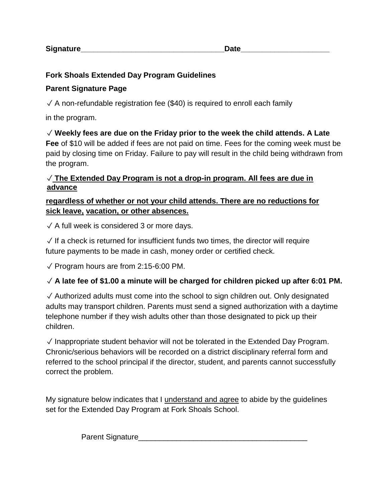**Signature Construction Construction Construction Construction Construction Construction Construction Construction Construction Construction Construction Construction Construction Construction Construction Construction C** 

### **Fork Shoals Extended Day Program Guidelines**

#### **Parent Signature Page**

 $\sqrt{4}$  non-refundable registration fee (\$40) is required to enroll each family

in the program.

# ✓ **Weekly fees are due on the Friday prior to the week the child attends. A Late**

**Fee** of \$10 will be added if fees are not paid on time. Fees for the coming week must be paid by closing time on Friday. Failure to pay will result in the child being withdrawn from the program.

#### ✓ **The Extended Day Program is not a drop-in program. All fees are due in advance**

#### **regardless of whether or not your child attends. There are no reductions for sick leave, vacation, or other absences.**

 $\sqrt{4}$  A full week is considered 3 or more days.

 $\sqrt{15}$  If a check is returned for insufficient funds two times, the director will require future payments to be made in cash, money order or certified check.

✓ Program hours are from 2:15-6:00 PM.

# ✓ **A late fee of \$1.00 a minute will be charged for children picked up after 6:01 PM.**

✓ Authorized adults must come into the school to sign children out. Only designated adults may transport children. Parents must send a signed authorization with a daytime telephone number if they wish adults other than those designated to pick up their children.

✓ Inappropriate student behavior will not be tolerated in the Extended Day Program. Chronic/serious behaviors will be recorded on a district disciplinary referral form and referred to the school principal if the director, student, and parents cannot successfully correct the problem.

My signature below indicates that I understand and agree to abide by the guidelines set for the Extended Day Program at Fork Shoals School.

Parent Signature